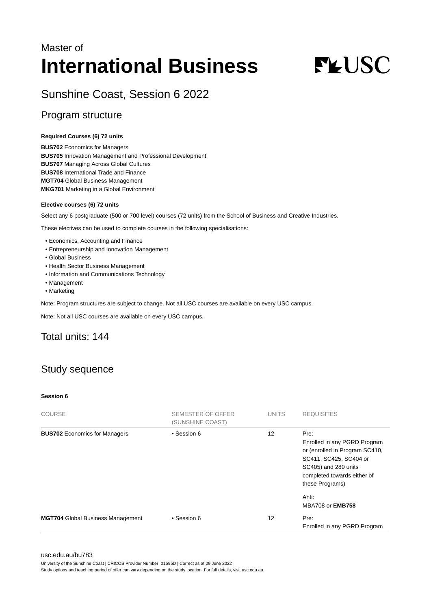## Master of **International Business**

# **FLUSC**

## Sunshine Coast, Session 6 2022

## Program structure

#### **Required Courses (6) 72 units**

**BUS702** Economics for Managers **BUS705** Innovation Management and Professional Development **BUS707** Managing Across Global Cultures **BUS708** International Trade and Finance **MGT704** Global Business Management **MKG701** Marketing in a Global Environment

#### **Elective courses (6) 72 units**

Select any 6 postgraduate (500 or 700 level) courses (72 units) from the School of Business and Creative Industries.

These electives can be used to complete courses in the following specialisations:

- Economics, Accounting and Finance
- Entrepreneurship and Innovation Management
- Global Business
- Health Sector Business Management
- Information and Communications Technology
- Management
- Marketing

Note: Program structures are subject to change. Not all USC courses are available on every USC campus.

Note: Not all USC courses are available on every USC campus.

## Total units: 144

## Study sequence

#### **Session 6**

| <b>COURSE</b>                            | SEMESTER OF OFFER<br>(SUNSHINE COAST) | <b>UNITS</b> | <b>REQUISITES</b>                                                                                                                                                          |
|------------------------------------------|---------------------------------------|--------------|----------------------------------------------------------------------------------------------------------------------------------------------------------------------------|
| <b>BUS702 Economics for Managers</b>     | • Session 6                           | 12           | Pre:<br>Enrolled in any PGRD Program<br>or (enrolled in Program SC410,<br>SC411, SC425, SC404 or<br>SC405) and 280 units<br>completed towards either of<br>these Programs) |
|                                          |                                       |              | Anti:<br><b>MBA708 or EMB758</b>                                                                                                                                           |
| <b>MGT704</b> Global Business Management | • Session 6                           | 12           | Pre:<br>Enrolled in any PGRD Program                                                                                                                                       |

#### [usc.edu.au/bu783](https://www.usc.edu.au/bu783)

University of the Sunshine Coast | CRICOS Provider Number: 01595D | Correct as at 29 June 2022

Study options and teaching period of offer can vary depending on the study location. For full details, visit usc.edu.au.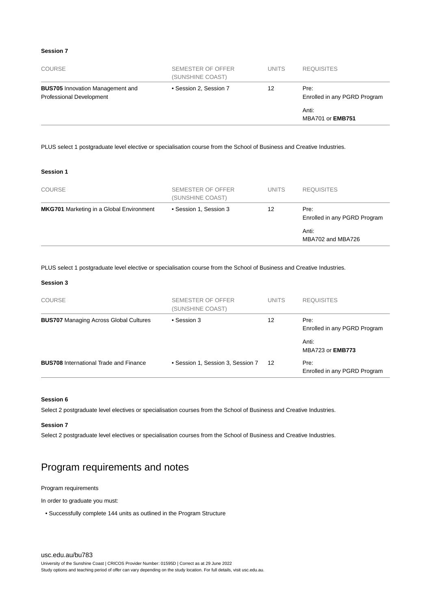#### **Session 7**

| <b>COURSE</b>                                                       | SEMESTER OF OFFER<br>(SUNSHINE COAST) | <b>UNITS</b> | <b>REQUISITES</b>                    |
|---------------------------------------------------------------------|---------------------------------------|--------------|--------------------------------------|
| <b>BUS705</b> Innovation Management and<br>Professional Development | • Session 2, Session 7                | 12           | Pre:<br>Enrolled in any PGRD Program |
|                                                                     |                                       |              | Anti:<br><b>MBA701 or EMB751</b>     |

PLUS select 1 postgraduate level elective or specialisation course from the School of Business and Creative Industries.

#### **Session 1**

| <b>COURSE</b>                                   | SEMESTER OF OFFER<br>(SUNSHINE COAST) | <b>UNITS</b> | <b>REQUISITES</b>                    |
|-------------------------------------------------|---------------------------------------|--------------|--------------------------------------|
| <b>MKG701</b> Marketing in a Global Environment | • Session 1, Session 3                | 12           | Pre:<br>Enrolled in any PGRD Program |
|                                                 |                                       |              | Anti:<br>MBA702 and MBA726           |

PLUS select 1 postgraduate level elective or specialisation course from the School of Business and Creative Industries.

#### **Session 3**

| <b>COURSE</b>                                 | SEMESTER OF OFFER<br>(SUNSHINE COAST) | <b>UNITS</b> | <b>REQUISITES</b>                    |
|-----------------------------------------------|---------------------------------------|--------------|--------------------------------------|
| <b>BUS707</b> Managing Across Global Cultures | • Session 3                           | 12           | Pre:<br>Enrolled in any PGRD Program |
|                                               |                                       |              | Anti:<br>MBA723 or <b>EMB773</b>     |
| <b>BUS708</b> International Trade and Finance | • Session 1, Session 3, Session 7     | 12           | Pre:<br>Enrolled in any PGRD Program |

#### **Session 6**

Select 2 postgraduate level electives or specialisation courses from the School of Business and Creative Industries.

#### **Session 7**

Select 2 postgraduate level electives or specialisation courses from the School of Business and Creative Industries.

## Program requirements and notes

#### Program requirements

In order to graduate you must:

• Successfully complete 144 units as outlined in the Program Structure